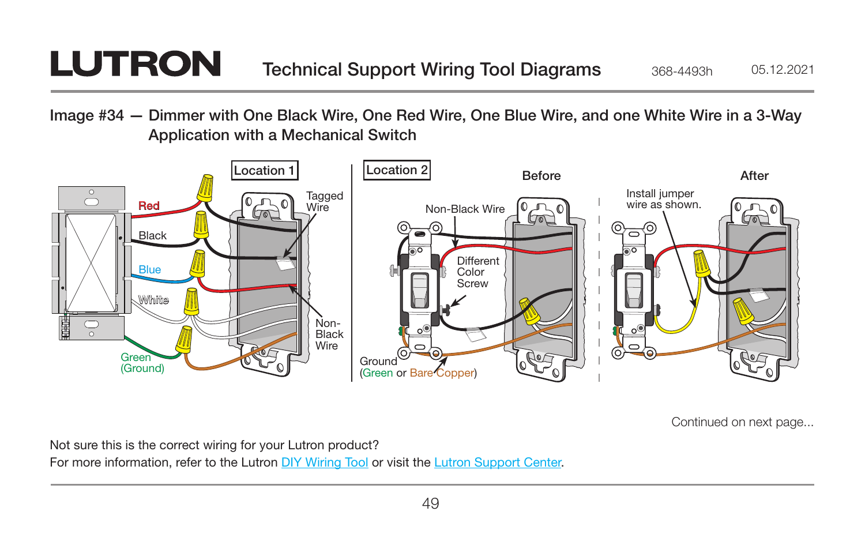## **LUTRON**

Image #34 — Dimmer with One Black Wire, One Red Wire, One Blue Wire, and one White Wire in a 3-Way Application with a Mechanical Switch



Continued on next page...

Not sure this is the correct wiring for your Lutron product? For more information, refer to the Lutron [DIY Wiring Tool](http://www.lutron.com/wiringtool) or visit the [Lutron Support Center.](http://www.lutron.com/en-US/pages/SupportCenter/support.aspx)